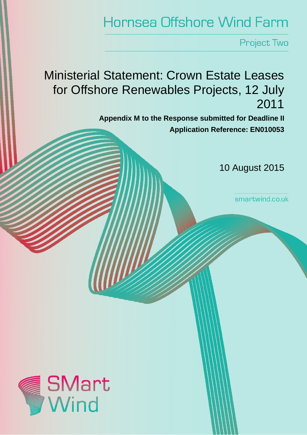## **Hornsea Offshore Wind Farm**

**Project Two** 

Ministerial Statement: Crown Estate Leases for Offshore Renewables Projects, 12 July 2011

> **Appendix M to the Response submitted for Deadline II Application Reference: EN010053**

> > 10 August 2015

smartwind.co.uk

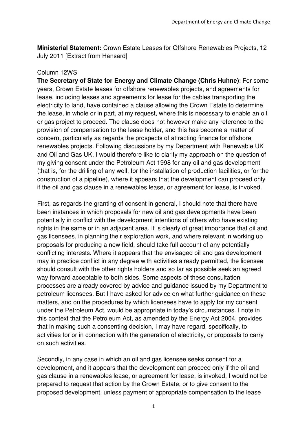**Ministerial Statement:** Crown Estate Leases for Offshore Renewables Projects, 12 July 2011 [Extract from Hansard]

## Column 12WS

**The Secretary of State for Energy and Climate Change (Chris Huhne)**: For some years, Crown Estate leases for offshore renewables projects, and agreements for lease, including leases and agreements for lease for the cables transporting the electricity to land, have contained a clause allowing the Crown Estate to determine the lease, in whole or in part, at my request, where this is necessary to enable an oil or gas project to proceed. The clause does not however make any reference to the provision of compensation to the lease holder, and this has become a matter of concern, particularly as regards the prospects of attracting finance for offshore renewables projects. Following discussions by my Department with Renewable UK and Oil and Gas UK, I would therefore like to clarify my approach on the question of my giving consent under the Petroleum Act 1998 for any oil and gas development (that is, for the drilling of any well, for the installation of production facilities, or for the construction of a pipeline), where it appears that the development can proceed only if the oil and gas clause in a renewables lease, or agreement for lease, is invoked.

First, as regards the granting of consent in general, I should note that there have been instances in which proposals for new oil and gas developments have been potentially in conflict with the development intentions of others who have existing rights in the same or in an adjacent area. It is clearly of great importance that oil and gas licensees, in planning their exploration work, and where relevant in working up proposals for producing a new field, should take full account of any potentially conflicting interests. Where it appears that the envisaged oil and gas development may in practice conflict in any degree with activities already permitted, the licensee should consult with the other rights holders and so far as possible seek an agreed way forward acceptable to both sides. Some aspects of these consultation processes are already covered by advice and guidance issued by my Department to petroleum licensees. But I have asked for advice on what further guidance on these matters, and on the procedures by which licensees have to apply for my consent under the Petroleum Act, would be appropriate in today's circumstances. I note in this context that the Petroleum Act, as amended by the Energy Act 2004, provides that in making such a consenting decision, I may have regard, specifically, to activities for or in connection with the generation of electricity, or proposals to carry on such activities.

Secondly, in any case in which an oil and gas licensee seeks consent for a development, and it appears that the development can proceed only if the oil and gas clause in a renewables lease, or agreement for lease, is invoked, I would not be prepared to request that action by the Crown Estate, or to give consent to the proposed development, unless payment of appropriate compensation to the lease